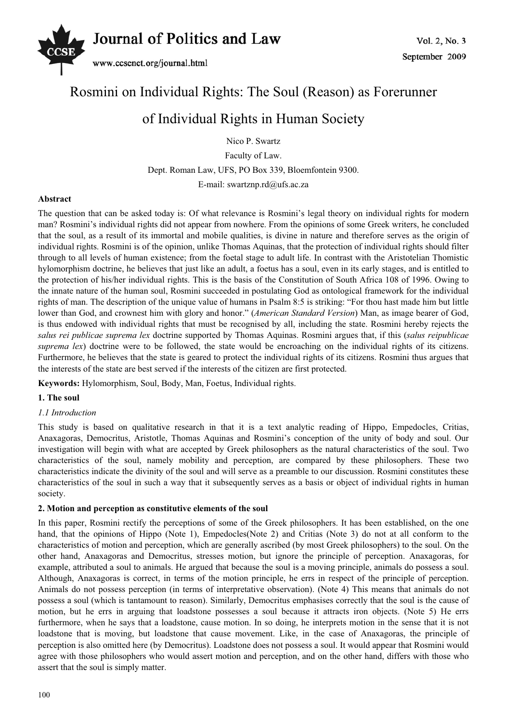

## Rosmini on Individual Rights: The Soul (Reason) as Forerunner

# of Individual Rights in Human Society

Nico P. Swartz

Faculty of Law.

Dept. Roman Law, UFS, PO Box 339, Bloemfontein 9300.

E-mail: swartznp.rd@ufs.ac.za

#### **Abstract**

The question that can be asked today is: Of what relevance is Rosmini's legal theory on individual rights for modern man? Rosmini's individual rights did not appear from nowhere. From the opinions of some Greek writers, he concluded that the soul, as a result of its immortal and mobile qualities, is divine in nature and therefore serves as the origin of individual rights. Rosmini is of the opinion, unlike Thomas Aquinas, that the protection of individual rights should filter through to all levels of human existence; from the foetal stage to adult life. In contrast with the Aristotelian Thomistic hylomorphism doctrine, he believes that just like an adult, a foetus has a soul, even in its early stages, and is entitled to the protection of his/her individual rights. This is the basis of the Constitution of South Africa 108 of 1996. Owing to the innate nature of the human soul, Rosmini succeeded in postulating God as ontological framework for the individual rights of man. The description of the unique value of humans in Psalm 8:5 is striking: "For thou hast made him but little lower than God, and crownest him with glory and honor." (*American Standard Version*) Man, as image bearer of God, is thus endowed with individual rights that must be recognised by all, including the state. Rosmini hereby rejects the *salus rei publicae suprema lex* doctrine supported by Thomas Aquinas. Rosmini argues that, if this (*salus reipublicae suprema lex*) doctrine were to be followed, the state would be encroaching on the individual rights of its citizens. Furthermore, he believes that the state is geared to protect the individual rights of its citizens. Rosmini thus argues that the interests of the state are best served if the interests of the citizen are first protected.

**Keywords:** Hylomorphism, Soul, Body, Man, Foetus, Individual rights.

### **1. The soul**

## *1.1 Introduction*

This study is based on qualitative research in that it is a text analytic reading of Hippo, Empedocles, Critias, Anaxagoras, Democritus, Aristotle, Thomas Aquinas and Rosmini's conception of the unity of body and soul. Our investigation will begin with what are accepted by Greek philosophers as the natural characteristics of the soul. Two characteristics of the soul, namely mobility and perception, are compared by these philosophers. These two characteristics indicate the divinity of the soul and will serve as a preamble to our discussion. Rosmini constitutes these characteristics of the soul in such a way that it subsequently serves as a basis or object of individual rights in human society.

#### **2. Motion and perception as constitutive elements of the soul**

In this paper, Rosmini rectify the perceptions of some of the Greek philosophers. It has been established, on the one hand, that the opinions of Hippo (Note 1), Empedocles(Note 2) and Critias (Note 3) do not at all conform to the characteristics of motion and perception, which are generally ascribed (by most Greek philosophers) to the soul. On the other hand, Anaxagoras and Democritus, stresses motion, but ignore the principle of perception. Anaxagoras, for example, attributed a soul to animals. He argued that because the soul is a moving principle, animals do possess a soul. Although, Anaxagoras is correct, in terms of the motion principle, he errs in respect of the principle of perception. Animals do not possess perception (in terms of interpretative observation). (Note 4) This means that animals do not possess a soul (which is tantamount to reason). Similarly, Democritus emphasises correctly that the soul is the cause of motion, but he errs in arguing that loadstone possesses a soul because it attracts iron objects. (Note 5) He errs furthermore, when he says that a loadstone, cause motion. In so doing, he interprets motion in the sense that it is not loadstone that is moving, but loadstone that cause movement. Like, in the case of Anaxagoras, the principle of perception is also omitted here (by Democritus). Loadstone does not possess a soul. It would appear that Rosmini would agree with those philosophers who would assert motion and perception, and on the other hand, differs with those who assert that the soul is simply matter.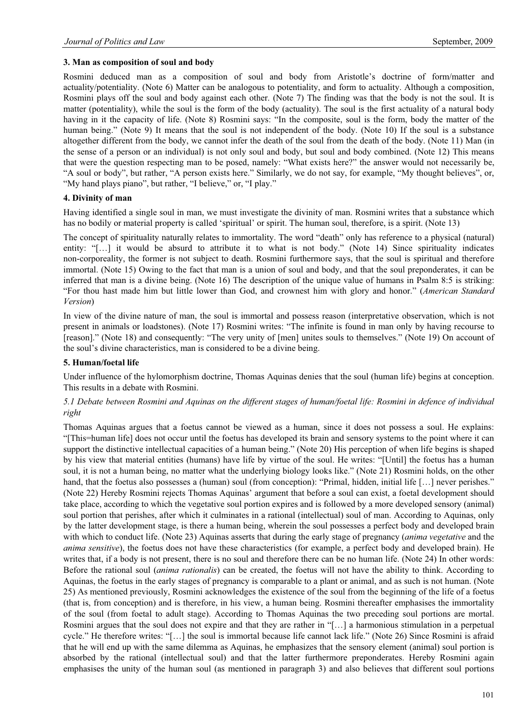#### **3. Man as composition of soul and body**

Rosmini deduced man as a composition of soul and body from Aristotle's doctrine of form/matter and actuality/potentiality. (Note 6) Matter can be analogous to potentiality, and form to actuality. Although a composition, Rosmini plays off the soul and body against each other. (Note 7) The finding was that the body is not the soul. It is matter (potentiality), while the soul is the form of the body (actuality). The soul is the first actuality of a natural body having in it the capacity of life. (Note 8) Rosmini says: "In the composite, soul is the form, body the matter of the human being." (Note 9) It means that the soul is not independent of the body. (Note 10) If the soul is a substance altogether different from the body, we cannot infer the death of the soul from the death of the body. (Note 11) Man (in the sense of a person or an individual) is not only soul and body, but soul and body combined. (Note 12) This means that were the question respecting man to be posed, namely: "What exists here?" the answer would not necessarily be, "A soul or body", but rather, "A person exists here." Similarly, we do not say, for example, "My thought believes", or, "My hand plays piano", but rather, "I believe," or, "I play."

#### **4. Divinity of man**

Having identified a single soul in man, we must investigate the divinity of man. Rosmini writes that a substance which has no bodily or material property is called 'spiritual' or spirit. The human soul, therefore, is a spirit. (Note 13)

The concept of spirituality naturally relates to immortality. The word "death" only has reference to a physical (natural) entity: "[…] it would be absurd to attribute it to what is not body." (Note 14) Since spirituality indicates non-corporeality, the former is not subject to death. Rosmini furthermore says, that the soul is spiritual and therefore immortal. (Note 15) Owing to the fact that man is a union of soul and body, and that the soul preponderates, it can be inferred that man is a divine being. (Note 16) The description of the unique value of humans in Psalm 8:5 is striking: "For thou hast made him but little lower than God, and crownest him with glory and honor." (*American Standard Version*)

In view of the divine nature of man, the soul is immortal and possess reason (interpretative observation, which is not present in animals or loadstones). (Note 17) Rosmini writes: "The infinite is found in man only by having recourse to [reason]." (Note 18) and consequently: "The very unity of [men] unites souls to themselves." (Note 19) On account of the soul's divine characteristics, man is considered to be a divine being.

#### **5. Human/foetal life**

Under influence of the hylomorphism doctrine, Thomas Aquinas denies that the soul (human life) begins at conception. This results in a debate with Rosmini.

#### *5.1 Debate between Rosmini and Aquinas on the different stages of human/foetal life: Rosmini in defence of individual right*

Thomas Aquinas argues that a foetus cannot be viewed as a human, since it does not possess a soul. He explains: "[This=human life] does not occur until the foetus has developed its brain and sensory systems to the point where it can support the distinctive intellectual capacities of a human being." (Note 20) His perception of when life begins is shaped by his view that material entities (humans) have life by virtue of the soul. He writes: "[Until] the foetus has a human soul, it is not a human being, no matter what the underlying biology looks like." (Note 21) Rosmini holds, on the other hand, that the foetus also possesses a (human) soul (from conception): "Primal, hidden, initial life [...] never perishes." (Note 22) Hereby Rosmini rejects Thomas Aquinas' argument that before a soul can exist, a foetal development should take place, according to which the vegetative soul portion expires and is followed by a more developed sensory (animal) soul portion that perishes, after which it culminates in a rational (intellectual) soul of man. According to Aquinas, only by the latter development stage, is there a human being, wherein the soul possesses a perfect body and developed brain with which to conduct life. (Note 23) Aquinas asserts that during the early stage of pregnancy (*anima vegetative* and the *anima sensitive*), the foetus does not have these characteristics (for example, a perfect body and developed brain). He writes that, if a body is not present, there is no soul and therefore there can be no human life. (Note 24) In other words: Before the rational soul (*anima rationalis*) can be created, the foetus will not have the ability to think. According to Aquinas, the foetus in the early stages of pregnancy is comparable to a plant or animal, and as such is not human. (Note 25) As mentioned previously, Rosmini acknowledges the existence of the soul from the beginning of the life of a foetus (that is, from conception) and is therefore, in his view, a human being. Rosmini thereafter emphasises the immortality of the soul (from foetal to adult stage). According to Thomas Aquinas the two preceding soul portions are mortal. Rosmini argues that the soul does not expire and that they are rather in "[…] a harmonious stimulation in a perpetual cycle." He therefore writes: "[…] the soul is immortal because life cannot lack life." (Note 26) Since Rosmini is afraid that he will end up with the same dilemma as Aquinas, he emphasizes that the sensory element (animal) soul portion is absorbed by the rational (intellectual soul) and that the latter furthermore preponderates. Hereby Rosmini again emphasises the unity of the human soul (as mentioned in paragraph 3) and also believes that different soul portions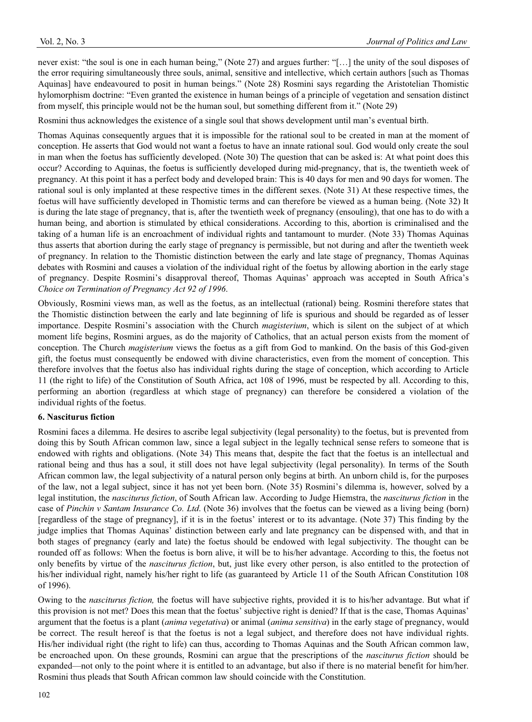never exist: "the soul is one in each human being," (Note 27) and argues further: "[…] the unity of the soul disposes of the error requiring simultaneously three souls, animal, sensitive and intellective, which certain authors [such as Thomas Aquinas] have endeavoured to posit in human beings." (Note 28) Rosmini says regarding the Aristotelian Thomistic hylomorphism doctrine: "Even granted the existence in human beings of a principle of vegetation and sensation distinct from myself, this principle would not be the human soul, but something different from it." (Note 29)

Rosmini thus acknowledges the existence of a single soul that shows development until man's eventual birth.

Thomas Aquinas consequently argues that it is impossible for the rational soul to be created in man at the moment of conception. He asserts that God would not want a foetus to have an innate rational soul. God would only create the soul in man when the foetus has sufficiently developed. (Note 30) The question that can be asked is: At what point does this occur? According to Aquinas, the foetus is sufficiently developed during mid-pregnancy, that is, the twentieth week of pregnancy. At this point it has a perfect body and developed brain: This is 40 days for men and 90 days for women. The rational soul is only implanted at these respective times in the different sexes. (Note 31) At these respective times, the foetus will have sufficiently developed in Thomistic terms and can therefore be viewed as a human being. (Note 32) It is during the late stage of pregnancy, that is, after the twentieth week of pregnancy (ensouling), that one has to do with a human being, and abortion is stimulated by ethical considerations. According to this, abortion is criminalised and the taking of a human life is an encroachment of individual rights and tantamount to murder. (Note 33) Thomas Aquinas thus asserts that abortion during the early stage of pregnancy is permissible, but not during and after the twentieth week of pregnancy. In relation to the Thomistic distinction between the early and late stage of pregnancy, Thomas Aquinas debates with Rosmini and causes a violation of the individual right of the foetus by allowing abortion in the early stage of pregnancy. Despite Rosmini's disapproval thereof, Thomas Aquinas' approach was accepted in South Africa's *Choice on Termination of Pregnancy Act 92 of 1996*.

Obviously, Rosmini views man, as well as the foetus, as an intellectual (rational) being. Rosmini therefore states that the Thomistic distinction between the early and late beginning of life is spurious and should be regarded as of lesser importance. Despite Rosmini's association with the Church *magisterium*, which is silent on the subject of at which moment life begins, Rosmini argues, as do the majority of Catholics, that an actual person exists from the moment of conception. The Church *magisterium* views the foetus as a gift from God to mankind. On the basis of this God-given gift, the foetus must consequently be endowed with divine characteristics, even from the moment of conception. This therefore involves that the foetus also has individual rights during the stage of conception, which according to Article 11 (the right to life) of the Constitution of South Africa, act 108 of 1996, must be respected by all. According to this, performing an abortion (regardless at which stage of pregnancy) can therefore be considered a violation of the individual rights of the foetus.

#### **6. Nasciturus fiction**

Rosmini faces a dilemma. He desires to ascribe legal subjectivity (legal personality) to the foetus, but is prevented from doing this by South African common law, since a legal subject in the legally technical sense refers to someone that is endowed with rights and obligations. (Note 34) This means that, despite the fact that the foetus is an intellectual and rational being and thus has a soul, it still does not have legal subjectivity (legal personality). In terms of the South African common law, the legal subjectivity of a natural person only begins at birth. An unborn child is, for the purposes of the law, not a legal subject, since it has not yet been born. (Note 35) Rosmini's dilemma is, however, solved by a legal institution, the *nasciturus fiction*, of South African law. According to Judge Hiemstra, the *nasciturus fiction* in the case of *Pinchin v Santam Insurance Co. Ltd*. (Note 36) involves that the foetus can be viewed as a living being (born) [regardless of the stage of pregnancy], if it is in the foetus' interest or to its advantage. (Note 37) This finding by the judge implies that Thomas Aquinas' distinction between early and late pregnancy can be dispensed with, and that in both stages of pregnancy (early and late) the foetus should be endowed with legal subjectivity. The thought can be rounded off as follows: When the foetus is born alive, it will be to his/her advantage. According to this, the foetus not only benefits by virtue of the *nasciturus fiction*, but, just like every other person, is also entitled to the protection of his/her individual right, namely his/her right to life (as guaranteed by Article 11 of the South African Constitution 108 of 1996).

Owing to the *nasciturus fiction,* the foetus will have subjective rights, provided it is to his/her advantage. But what if this provision is not met? Does this mean that the foetus' subjective right is denied? If that is the case, Thomas Aquinas' argument that the foetus is a plant (*anima vegetativa*) or animal (*anima sensitiva*) in the early stage of pregnancy, would be correct. The result hereof is that the foetus is not a legal subject, and therefore does not have individual rights. His/her individual right (the right to life) can thus, according to Thomas Aquinas and the South African common law, be encroached upon. On these grounds, Rosmini can argue that the prescriptions of the *nasciturus fiction* should be expanded—not only to the point where it is entitled to an advantage, but also if there is no material benefit for him/her. Rosmini thus pleads that South African common law should coincide with the Constitution.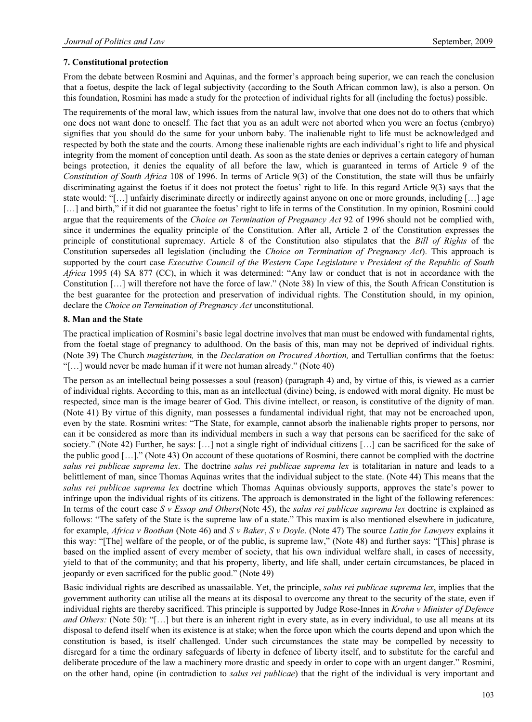### **7. Constitutional protection**

From the debate between Rosmini and Aquinas, and the former's approach being superior, we can reach the conclusion that a foetus, despite the lack of legal subjectivity (according to the South African common law), is also a person. On this foundation, Rosmini has made a study for the protection of individual rights for all (including the foetus) possible.

The requirements of the moral law, which issues from the natural law, involve that one does not do to others that which one does not want done to oneself. The fact that you as an adult were not aborted when you were an foetus (embryo) signifies that you should do the same for your unborn baby. The inalienable right to life must be acknowledged and respected by both the state and the courts. Among these inalienable rights are each individual's right to life and physical integrity from the moment of conception until death. As soon as the state denies or deprives a certain category of human beings protection, it denies the equality of all before the law, which is guaranteed in terms of Article 9 of the *Constitution of South Africa* 108 of 1996. In terms of Article 9(3) of the Constitution, the state will thus be unfairly discriminating against the foetus if it does not protect the foetus' right to life. In this regard Article 9(3) says that the state would: "[…] unfairly discriminate directly or indirectly against anyone on one or more grounds, including […] age [...] and birth," if it did not guarantee the foetus' right to life in terms of the Constitution. In my opinion, Rosmini could argue that the requirements of the *Choice on Termination of Pregnancy Act* 92 of 1996 should not be complied with, since it undermines the equality principle of the Constitution. After all, Article 2 of the Constitution expresses the principle of constitutional supremacy. Article 8 of the Constitution also stipulates that the *Bill of Rights* of the Constitution supersedes all legislation (including the *Choice on Termination of Pregnancy Act*). This approach is supported by the court case *Executive Council of the Western Cape Legislature v President of the Republic of South Africa* 1995 (4) SA 877 (CC), in which it was determined: "Any law or conduct that is not in accordance with the Constitution […] will therefore not have the force of law." (Note 38) In view of this, the South African Constitution is the best guarantee for the protection and preservation of individual rights. The Constitution should, in my opinion, declare the *Choice on Termination of Pregnancy Act* unconstitutional.

#### **8. Man and the State**

The practical implication of Rosmini's basic legal doctrine involves that man must be endowed with fundamental rights, from the foetal stage of pregnancy to adulthood. On the basis of this, man may not be deprived of individual rights. (Note 39) The Church *magisterium,* in the *Declaration on Procured Abortion,* and Tertullian confirms that the foetus: "[…] would never be made human if it were not human already." (Note 40)

The person as an intellectual being possesses a soul (reason) (paragraph 4) and, by virtue of this, is viewed as a carrier of individual rights. According to this, man as an intellectual (divine) being, is endowed with moral dignity. He must be respected, since man is the image bearer of God. This divine intellect, or reason, is constitutive of the dignity of man. (Note 41) By virtue of this dignity, man possesses a fundamental individual right, that may not be encroached upon, even by the state. Rosmini writes: "The State, for example, cannot absorb the inalienable rights proper to persons, nor can it be considered as more than its individual members in such a way that persons can be sacrificed for the sake of society." (Note 42) Further, he says: […] not a single right of individual citizens […] can be sacrificed for the sake of the public good […]." (Note 43) On account of these quotations of Rosmini, there cannot be complied with the doctrine *salus rei publicae suprema lex*. The doctrine *salus rei publicae suprema lex* is totalitarian in nature and leads to a belittlement of man, since Thomas Aquinas writes that the individual subject to the state. (Note 44) This means that the *salus rei publicae suprema lex* doctrine which Thomas Aquinas obviously supports, approves the state's power to infringe upon the individual rights of its citizens. The approach is demonstrated in the light of the following references: In terms of the court case *S v Essop and Others*(Note 45), the *salus rei publicae suprema lex* doctrine is explained as follows: "The safety of the State is the supreme law of a state." This maxim is also mentioned elsewhere in judicature, for example, *Africa v Boothan* (Note 46) and *S v Baker*, *S v Doyle*. (Note 47) The source *Latin for Lawyers* explains it this way: "[The] welfare of the people, or of the public, is supreme law," (Note 48) and further says: "[This] phrase is based on the implied assent of every member of society, that his own individual welfare shall, in cases of necessity, yield to that of the community; and that his property, liberty, and life shall, under certain circumstances, be placed in jeopardy or even sacrificed for the public good." (Note 49)

Basic individual rights are described as unassailable. Yet, the principle, *salus rei publicae suprema lex*, implies that the government authority can utilise all the means at its disposal to overcome any threat to the security of the state, even if individual rights are thereby sacrificed. This principle is supported by Judge Rose-Innes in *Krohn v Minister of Defence and Others:* (Note 50): "[...] but there is an inherent right in every state, as in every individual, to use all means at its disposal to defend itself when its existence is at stake; when the force upon which the courts depend and upon which the constitution is based, is itself challenged. Under such circumstances the state may be compelled by necessity to disregard for a time the ordinary safeguards of liberty in defence of liberty itself, and to substitute for the careful and deliberate procedure of the law a machinery more drastic and speedy in order to cope with an urgent danger." Rosmini, on the other hand, opine (in contradiction to *salus rei publicae*) that the right of the individual is very important and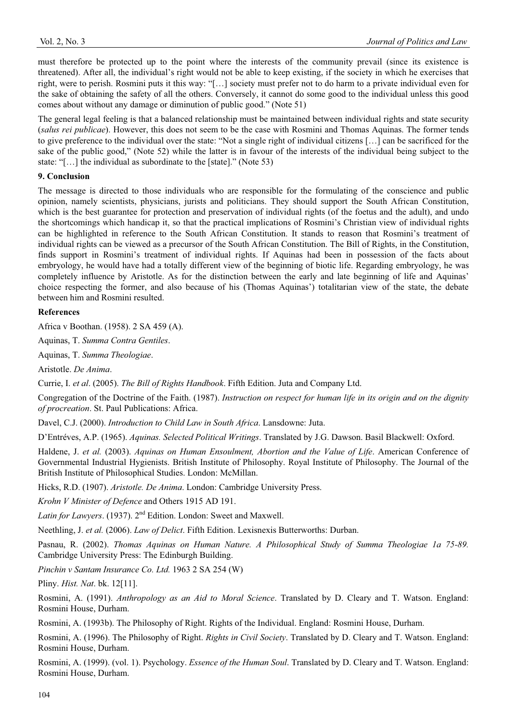must therefore be protected up to the point where the interests of the community prevail (since its existence is threatened). After all, the individual's right would not be able to keep existing, if the society in which he exercises that right, were to perish. Rosmini puts it this way: "[…] society must prefer not to do harm to a private individual even for the sake of obtaining the safety of all the others. Conversely, it cannot do some good to the individual unless this good comes about without any damage or diminution of public good." (Note 51)

The general legal feeling is that a balanced relationship must be maintained between individual rights and state security (*salus rei publicae*). However, this does not seem to be the case with Rosmini and Thomas Aquinas. The former tends to give preference to the individual over the state: "Not a single right of individual citizens […] can be sacrificed for the sake of the public good," (Note 52) while the latter is in favour of the interests of the individual being subject to the state: "[…] the individual as subordinate to the [state]." (Note 53)

#### **9. Conclusion**

The message is directed to those individuals who are responsible for the formulating of the conscience and public opinion, namely scientists, physicians, jurists and politicians. They should support the South African Constitution, which is the best guarantee for protection and preservation of individual rights (of the foetus and the adult), and undo the shortcomings which handicap it, so that the practical implications of Rosmini's Christian view of individual rights can be highlighted in reference to the South African Constitution. It stands to reason that Rosmini's treatment of individual rights can be viewed as a precursor of the South African Constitution. The Bill of Rights, in the Constitution, finds support in Rosmini's treatment of individual rights. If Aquinas had been in possession of the facts about embryology, he would have had a totally different view of the beginning of biotic life. Regarding embryology, he was completely influence by Aristotle. As for the distinction between the early and late beginning of life and Aquinas' choice respecting the former, and also because of his (Thomas Aquinas') totalitarian view of the state, the debate between him and Rosmini resulted.

#### **References**

Africa v Boothan. (1958). 2 SA 459 (A).

Aquinas, T. *Summa Contra Gentiles*.

Aquinas, T. *Summa Theologiae*.

Aristotle. *De Anima*.

Currie, I. *et al*. (2005). *The Bill of Rights Handbook*. Fifth Edition. Juta and Company Ltd.

Congregation of the Doctrine of the Faith. (1987). *Instruction on respect for human life in its origin and on the dignity of procreation*. St. Paul Publications: Africa.

Davel, C.J. (2000). *Introduction to Child Law in South Africa*. Lansdowne: Juta.

D'Entréves, A.P. (1965). *Aquinas. Selected Political Writings*. Translated by J.G. Dawson. Basil Blackwell: Oxford.

Haldene, J. *et al.* (2003). *Aquinas on Human Ensoulment, Abortion and the Value of Life*. American Conference of Governmental Industrial Hygienists. British Institute of Philosophy. Royal Institute of Philosophy. The Journal of the British Institute of Philosophical Studies. London: McMillan.

Hicks, R.D. (1907). *Aristotle. De Anima*. London: Cambridge University Press.

*Krohn V Minister of Defence* and Others 1915 AD 191.

*Latin for Lawyers*. (1937). 2nd Edition. London: Sweet and Maxwell.

Neethling, J. *et al.* (2006). *Law of Delict*. Fifth Edition. Lexisnexis Butterworths: Durban.

Pasnau, R. (2002). *Thomas Aquinas on Human Nature. A Philosophical Study of Summa Theologiae 1a 75-89.* Cambridge University Press: The Edinburgh Building.

*Pinchin v Santam Insurance Co. Ltd.* 1963 2 SA 254 (W)

Pliny. *Hist. Nat*. bk. 12[11].

Rosmini, A. (1991). *Anthropology as an Aid to Moral Science*. Translated by D. Cleary and T. Watson. England: Rosmini House, Durham.

Rosmini, A. (1993b). The Philosophy of Right. Rights of the Individual. England: Rosmini House, Durham.

Rosmini, A. (1996). The Philosophy of Right. *Rights in Civil Society*. Translated by D. Cleary and T. Watson. England: Rosmini House, Durham.

Rosmini, A. (1999). (vol. 1). Psychology. *Essence of the Human Soul*. Translated by D. Cleary and T. Watson. England: Rosmini House, Durham.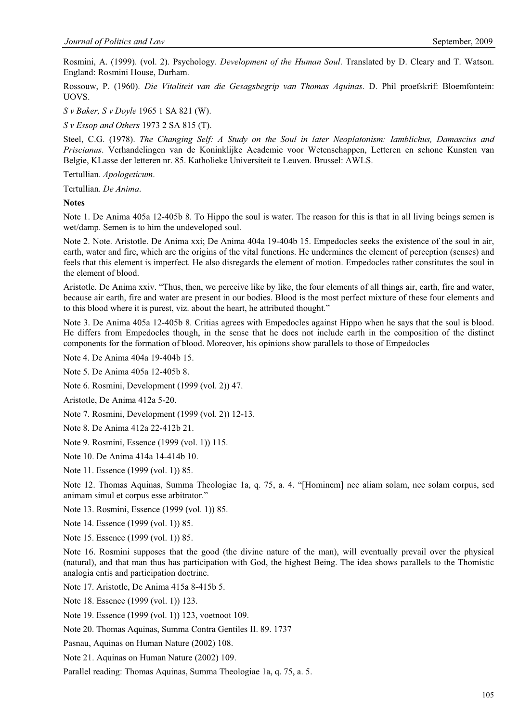Rosmini, A. (1999). (vol. 2). Psychology. *Development of the Human Soul*. Translated by D. Cleary and T. Watson. England: Rosmini House, Durham.

Rossouw, P. (1960). *Die Vitaliteit van die Gesagsbegrip van Thomas Aquinas*. D. Phil proefskrif: Bloemfontein: UOVS.

*S v Baker, S v Doyle* 1965 1 SA 821 (W).

*S v Essop and Others* 1973 2 SA 815 (T).

Steel, C.G. (1978). *The Changing Self: A Study on the Soul in later Neoplatonism: Iamblichus, Damascius and Priscianus*. Verhandelingen van de Koninklijke Academie voor Wetenschappen, Letteren en schone Kunsten van Belgie, KLasse der letteren nr. 85. Katholieke Universiteit te Leuven. Brussel: AWLS.

Tertullian. *Apologeticum*.

Tertullian. *De Anima*.

#### **Notes**

Note 1. De Anima 405a 12-405b 8. To Hippo the soul is water. The reason for this is that in all living beings semen is wet/damp. Semen is to him the undeveloped soul.

Note 2. Note. Aristotle. De Anima xxi; De Anima 404a 19-404b 15. Empedocles seeks the existence of the soul in air, earth, water and fire, which are the origins of the vital functions. He undermines the element of perception (senses) and feels that this element is imperfect. He also disregards the element of motion. Empedocles rather constitutes the soul in the element of blood.

Aristotle. De Anima xxiv. "Thus, then, we perceive like by like, the four elements of all things air, earth, fire and water, because air earth, fire and water are present in our bodies. Blood is the most perfect mixture of these four elements and to this blood where it is purest, viz. about the heart, he attributed thought."

Note 3. De Anima 405a 12-405b 8. Critias agrees with Empedocles against Hippo when he says that the soul is blood. He differs from Empedocles though, in the sense that he does not include earth in the composition of the distinct components for the formation of blood. Moreover, his opinions show parallels to those of Empedocles

Note 4. De Anima 404a 19-404b 15.

Note 5. De Anima 405a 12-405b 8.

Note 6. Rosmini, Development (1999 (vol. 2)) 47.

Aristotle, De Anima 412a 5-20.

Note 7. Rosmini, Development (1999 (vol. 2)) 12-13.

Note 8. De Anima 412a 22-412b 21.

Note 9. Rosmini, Essence (1999 (vol. 1)) 115.

Note 10. De Anima 414a 14-414b 10.

Note 11. Essence (1999 (vol. 1)) 85.

Note 12. Thomas Aquinas, Summa Theologiae 1a, q. 75, a. 4. "[Hominem] nec aliam solam, nec solam corpus, sed animam simul et corpus esse arbitrator."

Note 13. Rosmini, Essence (1999 (vol. 1)) 85.

Note 14. Essence (1999 (vol. 1)) 85.

Note 15. Essence (1999 (vol. 1)) 85.

Note 16. Rosmini supposes that the good (the divine nature of the man), will eventually prevail over the physical (natural), and that man thus has participation with God, the highest Being. The idea shows parallels to the Thomistic analogia entis and participation doctrine.

Note 17. Aristotle, De Anima 415a 8-415b 5.

Note 18. Essence (1999 (vol. 1)) 123.

Note 19. Essence (1999 (vol. 1)) 123, voetnoot 109.

Note 20. Thomas Aquinas, Summa Contra Gentiles II. 89. 1737

Pasnau, Aquinas on Human Nature (2002) 108.

Note 21. Aquinas on Human Nature (2002) 109.

Parallel reading: Thomas Aquinas, Summa Theologiae 1a, q. 75, a. 5.